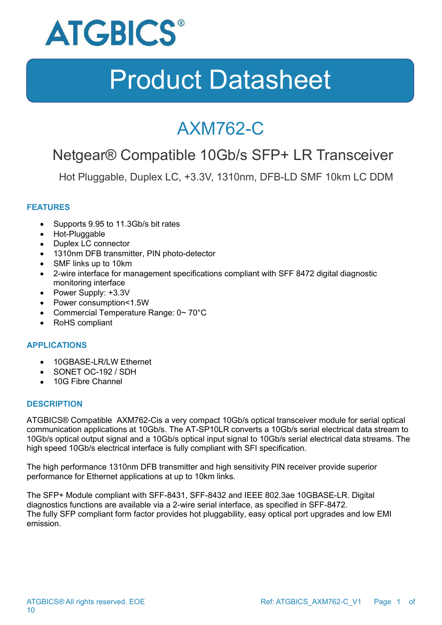

### AXM762-C

### Netgear® Compatible 10Gb/s SFP+ LR Transceiver

Hot Pluggable, Duplex LC, +3.3V, 1310nm, DFB-LD SMF 10km LC DDM

### **FEATURES**

- Supports 9.95 to 11.3Gb/s bit rates
- Hot-Pluggable
- Duplex LC connector
- 1310nm DFB transmitter, PIN photo-detector
- SMF links up to 10km
- 2-wire interface for management specifications compliant with SFF 8472 digital diagnostic monitoring interface
- Power Supply: +3.3V
- Power consumption<1.5W
- Commercial Temperature Range: 0~70°C
- RoHS compliant

#### **APPLICATIONS**

- 10GBASE-LR/LW Ethernet
- SONET OC-192 / SDH
- 10G Fibre Channel

#### **DESCRIPTION**

ATGBICS® Compatible AXM762-Cis a very compact 10Gb/s optical transceiver module for serial optical communication applications at 10Gb/s. The AT-SP10LR converts a 10Gb/s serial electrical data stream to 10Gb/s optical output signal and a 10Gb/s optical input signal to 10Gb/s serial electrical data streams. The high speed 10Gb/s electrical interface is fully compliant with SFI specification.

The high performance 1310nm DFB transmitter and high sensitivity PIN receiver provide superior performance for Ethernet applications at up to 10km links.

The SFP+ Module compliant with SFF-8431, SFF-8432 and IEEE 802.3ae 10GBASE-LR. Digital diagnostics functions are available via a 2-wire serial interface, as specified in SFF-8472. The fully SFP compliant form factor provides hot pluggability, easy optical port upgrades and low EMI emission.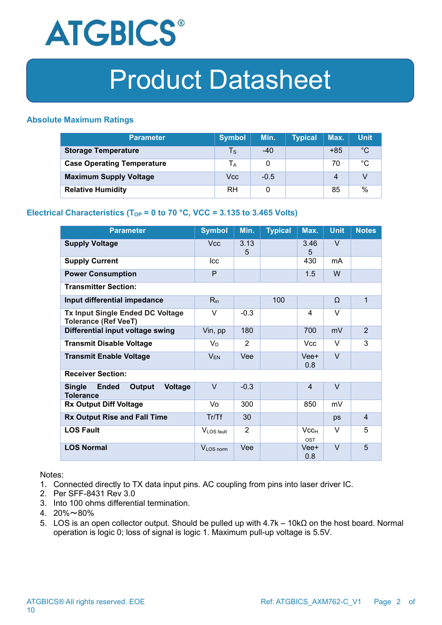

### **Absolute Maximum Ratings**

| <b>Parameter</b>                  | <b>Symbol</b>         | Min.   | <b>Typical</b> | Max.  | <b>Unit</b>  |
|-----------------------------------|-----------------------|--------|----------------|-------|--------------|
| <b>Storage Temperature</b>        | $T_{\rm S}$           | -40    |                | $+85$ | $^{\circ}C$  |
| <b>Case Operating Temperature</b> | <b>T</b> <sub>A</sub> |        |                | 70    | $^{\circ}$ C |
| <b>Maximum Supply Voltage</b>     | Vcc                   | $-0.5$ |                | 4     |              |
| <b>Relative Humidity</b>          | <b>RH</b>             |        |                | 85    | %            |

### **Electrical Characteristics** ( $T_{OP}$  = 0 to 70 °C, VCC = 3.135 to 3.465 Volts)

| <b>Parameter</b>                                                       | <b>Symbol</b>         | Min.           | <b>Typical</b> | Max.                           | <b>Unit</b> | <b>Notes</b>   |
|------------------------------------------------------------------------|-----------------------|----------------|----------------|--------------------------------|-------------|----------------|
| <b>Supply Voltage</b>                                                  | <b>Vcc</b>            | 3.13<br>5      |                | 3.46<br>5                      | $\vee$      |                |
| <b>Supply Current</b>                                                  | <b>Icc</b>            |                |                | 430                            | mA          |                |
| <b>Power Consumption</b>                                               | P                     |                |                | 1.5                            | W           |                |
| <b>Transmitter Section:</b>                                            |                       |                |                |                                |             |                |
| Input differential impedance                                           | $R_{in}$              |                | 100            |                                | $\Omega$    | $\mathbf{1}$   |
| Tx Input Single Ended DC Voltage<br><b>Tolerance (Ref VeeT)</b>        | $\vee$                | $-0.3$         |                | 4                              | $\vee$      |                |
| Differential input voltage swing                                       | Vin, pp               | 180            |                | 700                            | mV          | $\overline{2}$ |
| <b>Transmit Disable Voltage</b>                                        | V <sub>D</sub>        | $\overline{2}$ |                | <b>Vcc</b>                     | $\vee$      | 3              |
| <b>Transmit Enable Voltage</b>                                         | $V_{EN}$              | Vee            |                | Vee+<br>0.8                    | $\vee$      |                |
| <b>Receiver Section:</b>                                               |                       |                |                |                                |             |                |
| Voltage<br><b>Single</b><br><b>Ended</b><br>Output<br><b>Tolerance</b> | $\vee$                | $-0.3$         |                | $\overline{4}$                 | $\vee$      |                |
| <b>Rx Output Diff Voltage</b>                                          | Vo                    | 300            |                | 850                            | mV          |                |
| <b>Rx Output Rise and Fall Time</b>                                    | Tr/Tf                 | 30             |                |                                | ps          | 4              |
| <b>LOS Fault</b>                                                       | VLOS fault            | $\overline{2}$ |                | Vcc <sub>H</sub><br><b>OST</b> | $\vee$      | 5              |
| <b>LOS Normal</b>                                                      | V <sub>LOS</sub> norm | Vee            |                | Vee+<br>0.8                    | $\vee$      | 5              |

Notes:

- 1. Connected directly to TX data input pins. AC coupling from pins into laser driver IC.
- 2. Per SFF-8431 Rev 3.0
- 3. Into 100 ohms differential termination.
- 4.  $20\% \sim 80\%$
- 5. LOS is an open collector output. Should be pulled up with 4.7k 10kΩ on the host board. Normal operation is logic 0; loss of signal is logic 1. Maximum pull-up voltage is 5.5V.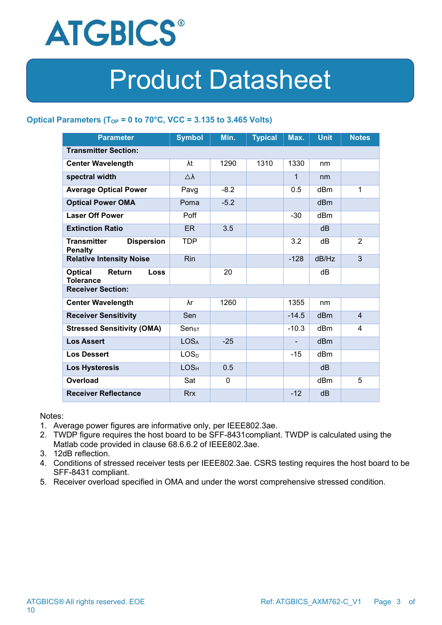

### **Optical Parameters (TOP = 0 to 70°C, VCC = 3.135 to 3.465 Volts)**

| <b>Parameter</b>                                            | <b>Symbol</b>      | Min.        | <b>Typical</b> | Max.         | <b>Unit</b>     | <b>Notes</b>   |  |
|-------------------------------------------------------------|--------------------|-------------|----------------|--------------|-----------------|----------------|--|
| <b>Transmitter Section:</b>                                 |                    |             |                |              |                 |                |  |
| <b>Center Wavelength</b>                                    | λt                 | 1290        | 1310           | 1330         | nm              |                |  |
| spectral width                                              | $\triangle\lambda$ |             |                | $\mathbf{1}$ | nm              |                |  |
| <b>Average Optical Power</b>                                | Pavg               | $-8.2$      |                | 0.5          | dBm             | 1              |  |
| <b>Optical Power OMA</b>                                    | Poma               | $-5.2$      |                |              | dBm             |                |  |
| <b>Laser Off Power</b>                                      | Poff               |             |                | $-30$        | dBm             |                |  |
| <b>Extinction Ratio</b>                                     | ER                 | 3.5         |                |              | dB              |                |  |
| <b>Transmitter</b><br><b>Dispersion</b><br><b>Penalty</b>   | <b>TDP</b>         |             |                | 3.2          | dB              | $\overline{2}$ |  |
| <b>Relative Intensity Noise</b>                             | <b>Rin</b>         |             |                | $-128$       | dB/Hz           | $\mathfrak{S}$ |  |
| <b>Optical</b><br>Return<br><b>Loss</b><br><b>Tolerance</b> |                    | 20          |                |              | dB              |                |  |
| <b>Receiver Section:</b>                                    |                    |             |                |              |                 |                |  |
| <b>Center Wavelength</b>                                    | λr                 | 1260        |                | 1355         | nm              |                |  |
| <b>Receiver Sensitivity</b>                                 | Sen                |             |                | $-14.5$      | dB <sub>m</sub> | $\overline{4}$ |  |
| <b>Stressed Sensitivity (OMA)</b>                           | Sen <sub>ST</sub>  |             |                | $-10.3$      | dBm             | 4              |  |
| <b>Los Assert</b>                                           | LOS <sub>A</sub>   | $-25$       |                |              | dBm             |                |  |
| <b>Los Dessert</b>                                          | LOS <sub>D</sub>   |             |                | $-15$        | dBm             |                |  |
| <b>Los Hysteresis</b>                                       | LOS <sub>H</sub>   | 0.5         |                |              | dB              |                |  |
| <b>Overload</b>                                             | Sat                | $\mathbf 0$ |                |              | dBm             | 5              |  |
| <b>Receiver Reflectance</b>                                 | <b>Rrx</b>         |             |                | $-12$        | dB              |                |  |

Notes:

- 1. Average power figures are informative only, per IEEE802.3ae.
- 2. TWDP figure requires the host board to be SFF-8431compliant. TWDP is calculated using the Matlab code provided in clause 68.6.6.2 of IEEE802.3ae.
- 3. 12dB reflection.
- 4. Conditions of stressed receiver tests per IEEE802.3ae. CSRS testing requires the host board to be SFF-8431 compliant.
- 5. Receiver overload specified in OMA and under the worst comprehensive stressed condition.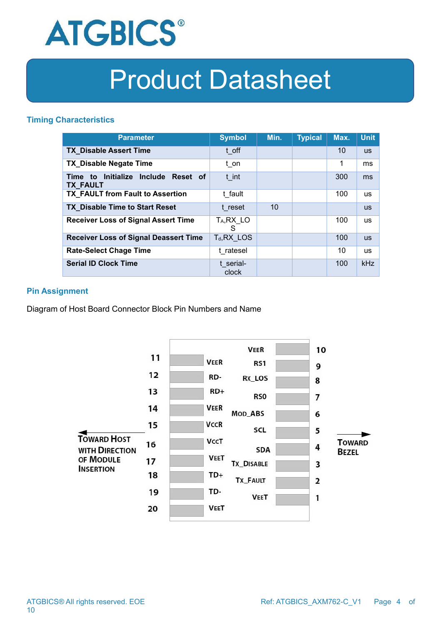

#### **Timing Characteristics**

| <b>Parameter</b>                                       | <b>Symbol</b>                | Min. | <b>Typical</b> | Max. | <b>Unit</b> |
|--------------------------------------------------------|------------------------------|------|----------------|------|-------------|
| <b>TX Disable Assert Time</b>                          | t off                        |      |                | 10   | <b>us</b>   |
| <b>TX_Disable Negate Time</b>                          | t on                         |      |                | 1    | ms          |
| Time to Initialize Include Reset of<br><b>TX FAULT</b> | t int                        |      |                | 300  | ms          |
| TX FAULT from Fault to Assertion                       | t fault                      |      |                | 100  | <b>us</b>   |
| <b>TX_Disable Time to Start Reset</b>                  | t reset                      | 10   |                |      | <b>us</b>   |
| <b>Receiver Loss of Signal Assert Time</b>             | T <sub>A</sub> , RX_LO<br>S. |      |                | 100  | <b>us</b>   |
| <b>Receiver Loss of Signal Deassert Time</b>           | $T_d, RX$ LOS                |      |                | 100  | <b>us</b>   |
| <b>Rate-Select Chage Time</b>                          | t ratesel                    |      |                | 10   | <b>US</b>   |
| <b>Serial ID Clock Time</b>                            | t serial-<br>clock           |      |                | 100  | kHz         |

#### **Pin Assignment**

Diagram of Host Board Connector Block Pin Numbers and Name

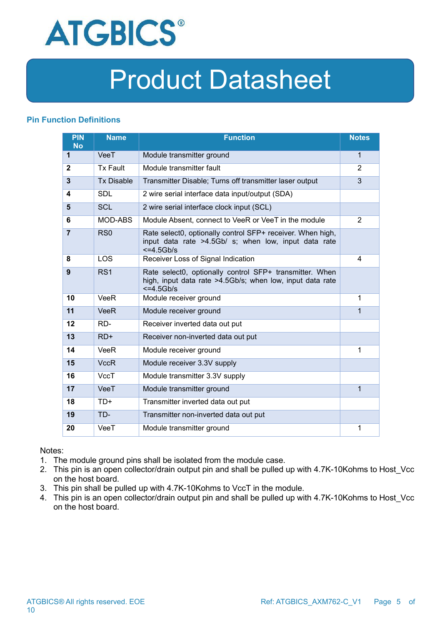

### **Pin Function Definitions**

| <b>PIN</b><br><b>No</b> | <b>Name</b>       | <b>Function</b>                                                                                                                     | <b>Notes</b>   |
|-------------------------|-------------------|-------------------------------------------------------------------------------------------------------------------------------------|----------------|
| 1                       | VeeT              | Module transmitter ground                                                                                                           | $\mathbf{1}$   |
| $\mathbf{2}$            | <b>Tx Fault</b>   | Module transmitter fault                                                                                                            | $\overline{2}$ |
| $\mathbf{3}$            | <b>Tx Disable</b> | Transmitter Disable; Turns off transmitter laser output                                                                             | 3              |
| 4                       | <b>SDL</b>        | 2 wire serial interface data input/output (SDA)                                                                                     |                |
| 5                       | <b>SCL</b>        | 2 wire serial interface clock input (SCL)                                                                                           |                |
| 6                       | MOD-ABS           | Module Absent, connect to VeeR or VeeT in the module                                                                                | 2              |
| $\overline{7}$          | RS <sub>0</sub>   | Rate select0, optionally control SFP+ receiver. When high,<br>input data rate >4.5Gb/ s; when low, input data rate<br>$<=4.5Gb/s$   |                |
| 8                       | LOS               | Receiver Loss of Signal Indication                                                                                                  | 4              |
| 9                       | RS <sub>1</sub>   | Rate select0, optionally control SFP+ transmitter. When<br>high, input data rate >4.5Gb/s; when low, input data rate<br>$<=4.5Gb/s$ |                |
| 10                      | <b>VeeR</b>       | Module receiver ground                                                                                                              | 1              |
| 11                      | <b>VeeR</b>       | Module receiver ground                                                                                                              | $\mathbf{1}$   |
| 12                      | RD-               | Receiver inverted data out put                                                                                                      |                |
| 13                      | $RD+$             | Receiver non-inverted data out put                                                                                                  |                |
| 14                      | VeeR              | Module receiver ground                                                                                                              | 1              |
| 15                      | <b>VccR</b>       | Module receiver 3.3V supply                                                                                                         |                |
| 16                      | <b>VccT</b>       | Module transmitter 3.3V supply                                                                                                      |                |
| 17                      | VeeT              | Module transmitter ground                                                                                                           | 1              |
| 18                      | $TD+$             | Transmitter inverted data out put                                                                                                   |                |
| 19                      | TD-               | Transmitter non-inverted data out put                                                                                               |                |
| 20                      | VeeT              | Module transmitter ground                                                                                                           | 1              |

Notes:

- 1. The module ground pins shall be isolated from the module case.
- 2. This pin is an open collector/drain output pin and shall be pulled up with 4.7K-10Kohms to Host\_Vcc on the host board.<br>3. This pin shall be pulled up with 4.7K-10Kohms to VccT in the module.
- 
- 4. This pin is an open collector/drain output pin and shall be pulled up with 4.7K-10Kohms to Host Vcc on the host board.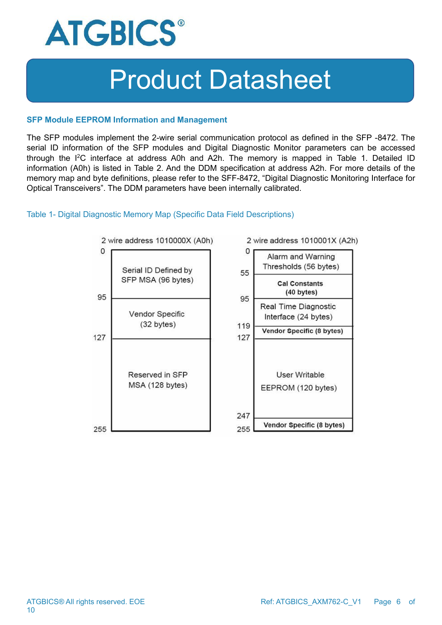

#### **SFP Module EEPROM Information and Management**

The SFP modules implement the 2-wire serial communication protocol as defined in the SFP -8472. The serial ID information of the SFP modules and Digital Diagnostic Monitor parameters can be accessed through the I<sup>2</sup>C interface at address A0h and A2h. The memory is mapped in Table 1. Detailed ID information (A0h) is listed in Table 2. And the DDM specification at address A2h. For more details of the memory map and byte definitions, please refer to the SFF-8472, "Digital Diagnostic Monitoring Interface for Optical Transceivers". The DDM parameters have been internally calibrated.

#### Table 1- Digital Diagnostic Memory Map (Specific Data Field Descriptions)

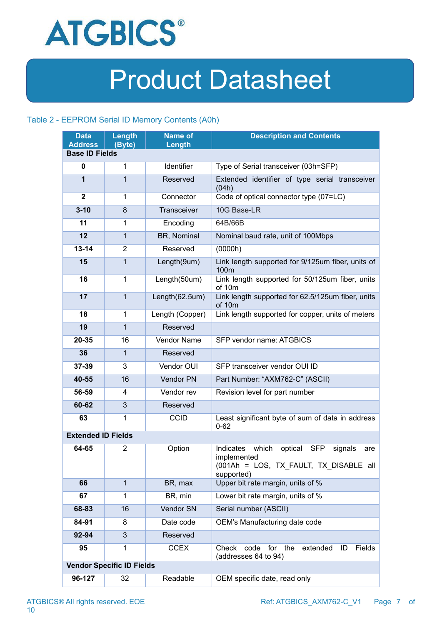

### Table 2 - EEPROM Serial ID Memory Contents (A0h)

| <b>Data</b>                             | Length                           | <b>Name of</b>  | <b>Description and Contents</b>                                                                                                      |  |
|-----------------------------------------|----------------------------------|-----------------|--------------------------------------------------------------------------------------------------------------------------------------|--|
| <b>Address</b><br><b>Base ID Fields</b> | (Byte)                           | Length          |                                                                                                                                      |  |
| 0                                       | 1                                | Identifier      | Type of Serial transceiver (03h=SFP)                                                                                                 |  |
|                                         |                                  |                 |                                                                                                                                      |  |
| 1                                       | 1                                | Reserved        | Extended identifier of type serial transceiver<br>(04h)                                                                              |  |
| $\mathbf 2$                             | 1                                | Connector       | Code of optical connector type (07=LC)                                                                                               |  |
| $3 - 10$                                | 8                                | Transceiver     | 10G Base-LR                                                                                                                          |  |
| 11                                      | 1                                | Encoding        | 64B/66B                                                                                                                              |  |
| 12                                      | $\mathbf{1}$                     | BR, Nominal     | Nominal baud rate, unit of 100Mbps                                                                                                   |  |
| $13 - 14$                               | $\overline{2}$                   | Reserved        | (0000h)                                                                                                                              |  |
| 15                                      | $\mathbf{1}$                     | Length(9um)     | Link length supported for 9/125um fiber, units of<br>100m                                                                            |  |
| 16                                      | 1                                | Length(50um)    | Link length supported for 50/125um fiber, units<br>of 10m                                                                            |  |
| 17                                      | $\mathbf{1}$                     | Length(62.5um)  | Link length supported for 62.5/125um fiber, units<br>of 10m                                                                          |  |
| 18                                      | 1                                | Length (Copper) | Link length supported for copper, units of meters                                                                                    |  |
| 19                                      | $\mathbf{1}$                     | Reserved        |                                                                                                                                      |  |
| 20-35                                   | 16                               | Vendor Name     | SFP vendor name: ATGBICS                                                                                                             |  |
| 36                                      | 1                                | Reserved        |                                                                                                                                      |  |
| 37-39                                   | 3                                | Vendor OUI      | SFP transceiver vendor OUI ID                                                                                                        |  |
| 40-55                                   | 16                               | Vendor PN       | Part Number: "AXM762-C" (ASCII)                                                                                                      |  |
| 56-59                                   | 4                                | Vendor rev      | Revision level for part number                                                                                                       |  |
| 60-62                                   | $\mathfrak{S}$                   | Reserved        |                                                                                                                                      |  |
| 63                                      | 1                                | <b>CCID</b>     | Least significant byte of sum of data in address<br>$0 - 62$                                                                         |  |
| <b>Extended ID Fields</b>               |                                  |                 |                                                                                                                                      |  |
| 64-65                                   | $\overline{2}$                   | Option          | which<br>Indicates<br>optical<br><b>SFP</b><br>signals<br>are<br>implemented<br>(001Ah = LOS, TX FAULT, TX DISABLE all<br>supported) |  |
| 66                                      | $\mathbf{1}$                     | BR, max         | Upper bit rate margin, units of %                                                                                                    |  |
| 67                                      | 1                                | BR, min         | Lower bit rate margin, units of %                                                                                                    |  |
| 68-83                                   | 16                               | Vendor SN       | Serial number (ASCII)                                                                                                                |  |
| 84-91                                   | 8                                | Date code       | OEM's Manufacturing date code                                                                                                        |  |
| 92-94                                   | $\mathfrak{S}$                   | Reserved        |                                                                                                                                      |  |
| 95                                      | 1                                | <b>CCEX</b>     | extended<br>Check code for the<br>Fields<br>ID<br>(addresses 64 to 94)                                                               |  |
|                                         | <b>Vendor Specific ID Fields</b> |                 |                                                                                                                                      |  |
| 96-127                                  | 32                               | Readable        | OEM specific date, read only                                                                                                         |  |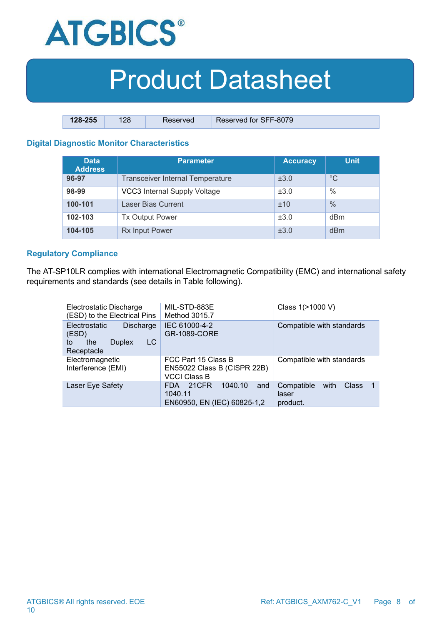

| 128-255 | 128 | Reserved | Reserved for SFF-8079 |
|---------|-----|----------|-----------------------|

### **Digital Diagnostic Monitor Characteristics**

| <b>Data</b><br><b>Address</b> | <b>Parameter</b>                        | <b>Accuracy</b> | <b>Unit</b>   |
|-------------------------------|-----------------------------------------|-----------------|---------------|
| 96-97                         | <b>Transceiver Internal Temperature</b> | ±3.0            | $^{\circ}C$   |
| 98-99                         | VCC3 Internal Supply Voltage            | ±3.0            | $\frac{0}{0}$ |
| 100-101                       | Laser Bias Current                      | ±10             | $\frac{0}{0}$ |
| 102-103                       | <b>Tx Output Power</b>                  | ±3.0            | dBm           |
| 104-105                       | <b>Rx Input Power</b>                   | ±3.0            | dBm           |

#### **Regulatory Compliance**

The AT-SP10LR complies with international Electromagnetic Compatibility (EMC) and international safety requirements and standards (see details in Table following).

| Electrostatic Discharge<br>(ESD) to the Electrical Pins                                | MIL-STD-883E<br>Method 3015.7                                             | Class 1(>1000 V)                                                       |  |  |
|----------------------------------------------------------------------------------------|---------------------------------------------------------------------------|------------------------------------------------------------------------|--|--|
| Electrostatic<br>Discharge<br>(ESD)<br>LC.<br><b>Duplex</b><br>the<br>to<br>Receptacle | IEC 61000-4-2<br>GR-1089-CORE                                             | Compatible with standards                                              |  |  |
| Electromagnetic<br>Interference (EMI)                                                  | FCC Part 15 Class B<br>EN55022 Class B (CISPR 22B)<br><b>VCCI Class B</b> | Compatible with standards                                              |  |  |
| Laser Eye Safety                                                                       | 21CFR<br>1040.10<br>and<br>FDA.<br>1040.11<br>EN60950, EN (IEC) 60825-1,2 | Compatible<br>with<br><b>Class</b><br>$\mathbf 1$<br>laser<br>product. |  |  |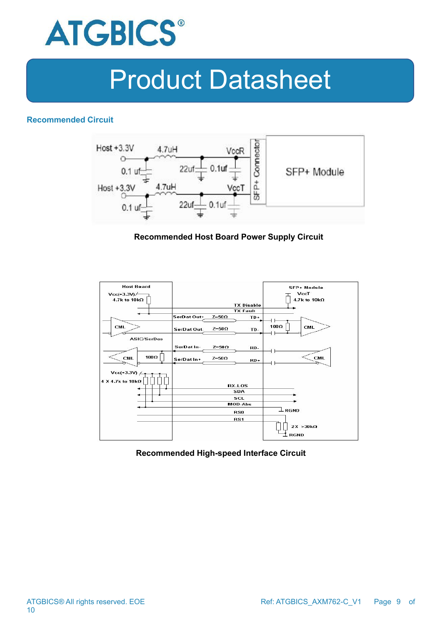

#### **Recommended Circuit**



### **Recommended Host Board Power Supply Circuit**



#### **Recommended High-speed Interface Circuit**